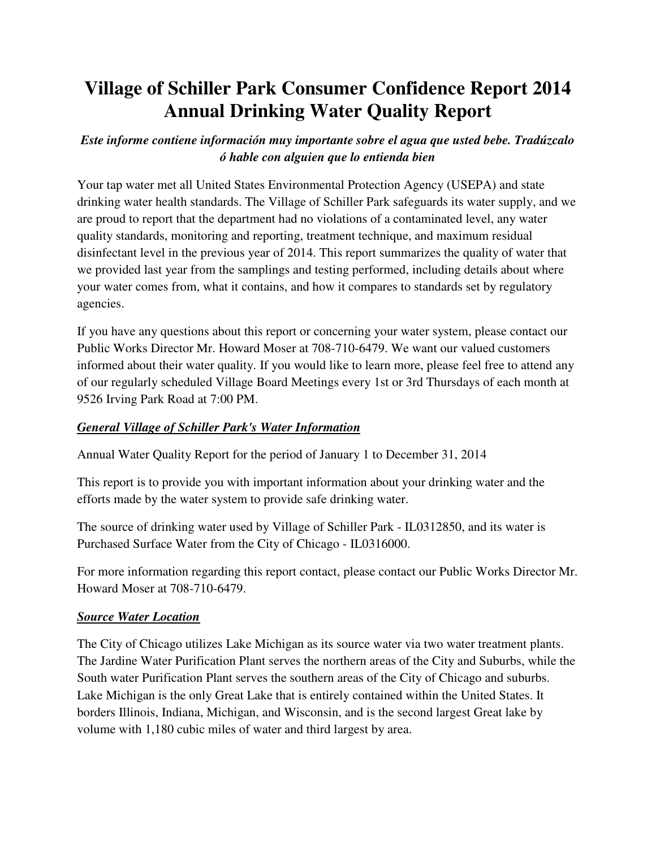# **Village of Schiller Park Consumer Confidence Report 2014 Annual Drinking Water Quality Report**

# *Este informe contiene información muy importante sobre el agua que usted bebe. Tradúzcalo ó hable con alguien que lo entienda bien*

Your tap water met all United States Environmental Protection Agency (USEPA) and state drinking water health standards. The Village of Schiller Park safeguards its water supply, and we are proud to report that the department had no violations of a contaminated level, any water quality standards, monitoring and reporting, treatment technique, and maximum residual disinfectant level in the previous year of 2014. This report summarizes the quality of water that we provided last year from the samplings and testing performed, including details about where your water comes from, what it contains, and how it compares to standards set by regulatory agencies.

If you have any questions about this report or concerning your water system, please contact our Public Works Director Mr. Howard Moser at 708-710-6479. We want our valued customers informed about their water quality. If you would like to learn more, please feel free to attend any of our regularly scheduled Village Board Meetings every 1st or 3rd Thursdays of each month at 9526 Irving Park Road at 7:00 PM.

# *General Village of Schiller Park's Water Information*

Annual Water Quality Report for the period of January 1 to December 31, 2014

This report is to provide you with important information about your drinking water and the efforts made by the water system to provide safe drinking water.

The source of drinking water used by Village of Schiller Park - IL0312850, and its water is Purchased Surface Water from the City of Chicago - IL0316000.

For more information regarding this report contact, please contact our Public Works Director Mr. Howard Moser at 708-710-6479.

# *Source Water Location*

The City of Chicago utilizes Lake Michigan as its source water via two water treatment plants. The Jardine Water Purification Plant serves the northern areas of the City and Suburbs, while the South water Purification Plant serves the southern areas of the City of Chicago and suburbs. Lake Michigan is the only Great Lake that is entirely contained within the United States. It borders Illinois, Indiana, Michigan, and Wisconsin, and is the second largest Great lake by volume with 1,180 cubic miles of water and third largest by area.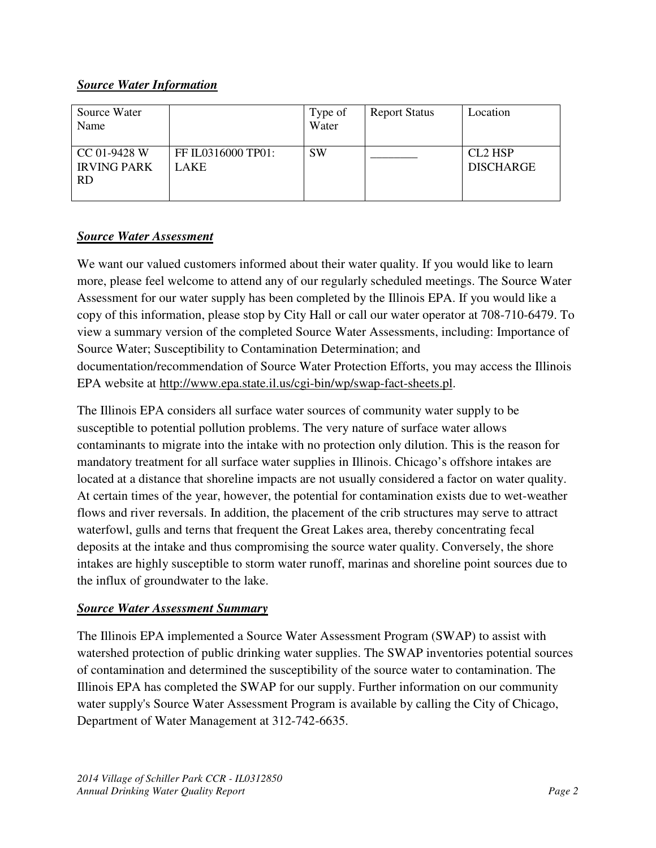# *Source Water Information*

| Source Water<br>Name                            |                                   | Type of<br>Water | <b>Report Status</b> | Location                                |
|-------------------------------------------------|-----------------------------------|------------------|----------------------|-----------------------------------------|
| CC 01-9428 W<br><b>IRVING PARK</b><br><b>RD</b> | FF IL0316000 TP01:<br><b>LAKE</b> | <b>SW</b>        |                      | CL <sub>2</sub> HSP<br><b>DISCHARGE</b> |

# *Source Water Assessment*

We want our valued customers informed about their water quality. If you would like to learn more, please feel welcome to attend any of our regularly scheduled meetings. The Source Water Assessment for our water supply has been completed by the Illinois EPA. If you would like a copy of this information, please stop by City Hall or call our water operator at 708-710-6479. To view a summary version of the completed Source Water Assessments, including: Importance of Source Water; Susceptibility to Contamination Determination; and documentation/recommendation of Source Water Protection Efforts, you may access the Illinois EPA website at http://www.epa.state.il.us/cgi-bin/wp/swap-fact-sheets.pl.

The Illinois EPA considers all surface water sources of community water supply to be susceptible to potential pollution problems. The very nature of surface water allows contaminants to migrate into the intake with no protection only dilution. This is the reason for mandatory treatment for all surface water supplies in Illinois. Chicago's offshore intakes are located at a distance that shoreline impacts are not usually considered a factor on water quality. At certain times of the year, however, the potential for contamination exists due to wet-weather flows and river reversals. In addition, the placement of the crib structures may serve to attract waterfowl, gulls and terns that frequent the Great Lakes area, thereby concentrating fecal deposits at the intake and thus compromising the source water quality. Conversely, the shore intakes are highly susceptible to storm water runoff, marinas and shoreline point sources due to the influx of groundwater to the lake.

# *Source Water Assessment Summary*

The Illinois EPA implemented a Source Water Assessment Program (SWAP) to assist with watershed protection of public drinking water supplies. The SWAP inventories potential sources of contamination and determined the susceptibility of the source water to contamination. The Illinois EPA has completed the SWAP for our supply. Further information on our community water supply's Source Water Assessment Program is available by calling the City of Chicago, Department of Water Management at 312-742-6635.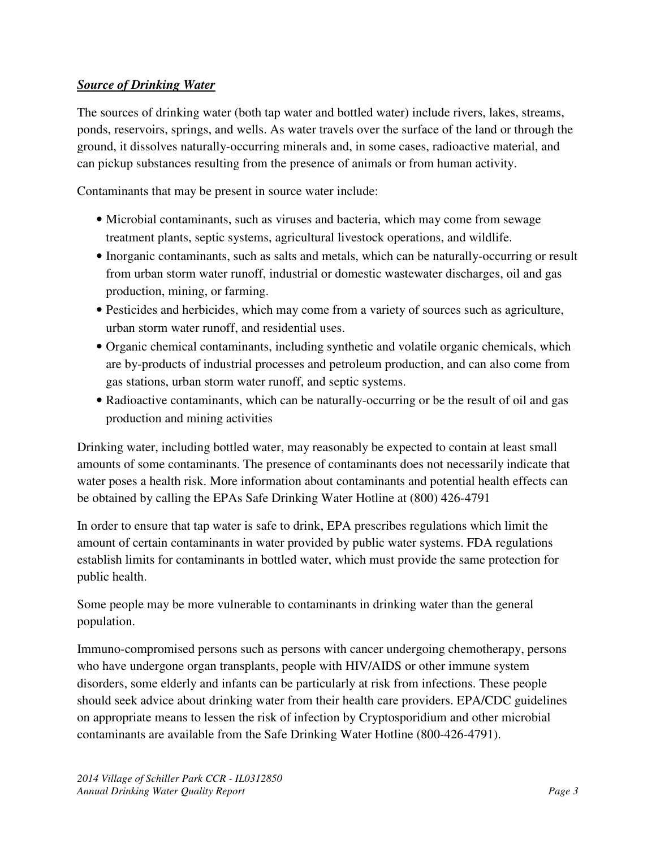# *Source of Drinking Water*

The sources of drinking water (both tap water and bottled water) include rivers, lakes, streams, ponds, reservoirs, springs, and wells. As water travels over the surface of the land or through the ground, it dissolves naturally-occurring minerals and, in some cases, radioactive material, and can pickup substances resulting from the presence of animals or from human activity.

Contaminants that may be present in source water include:

- Microbial contaminants, such as viruses and bacteria, which may come from sewage treatment plants, septic systems, agricultural livestock operations, and wildlife.
- Inorganic contaminants, such as salts and metals, which can be naturally-occurring or result from urban storm water runoff, industrial or domestic wastewater discharges, oil and gas production, mining, or farming.
- Pesticides and herbicides, which may come from a variety of sources such as agriculture, urban storm water runoff, and residential uses.
- Organic chemical contaminants, including synthetic and volatile organic chemicals, which are by-products of industrial processes and petroleum production, and can also come from gas stations, urban storm water runoff, and septic systems.
- Radioactive contaminants, which can be naturally-occurring or be the result of oil and gas production and mining activities

Drinking water, including bottled water, may reasonably be expected to contain at least small amounts of some contaminants. The presence of contaminants does not necessarily indicate that water poses a health risk. More information about contaminants and potential health effects can be obtained by calling the EPAs Safe Drinking Water Hotline at (800) 426-4791

In order to ensure that tap water is safe to drink, EPA prescribes regulations which limit the amount of certain contaminants in water provided by public water systems. FDA regulations establish limits for contaminants in bottled water, which must provide the same protection for public health.

Some people may be more vulnerable to contaminants in drinking water than the general population.

Immuno-compromised persons such as persons with cancer undergoing chemotherapy, persons who have undergone organ transplants, people with HIV/AIDS or other immune system disorders, some elderly and infants can be particularly at risk from infections. These people should seek advice about drinking water from their health care providers. EPA/CDC guidelines on appropriate means to lessen the risk of infection by Cryptosporidium and other microbial contaminants are available from the Safe Drinking Water Hotline (800-426-4791).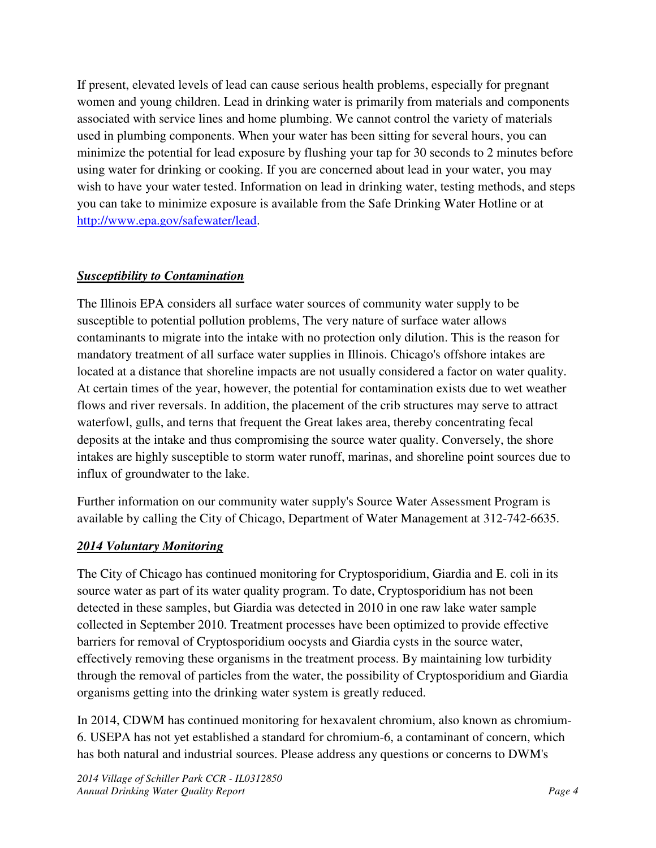If present, elevated levels of lead can cause serious health problems, especially for pregnant women and young children. Lead in drinking water is primarily from materials and components associated with service lines and home plumbing. We cannot control the variety of materials used in plumbing components. When your water has been sitting for several hours, you can minimize the potential for lead exposure by flushing your tap for 30 seconds to 2 minutes before using water for drinking or cooking. If you are concerned about lead in your water, you may wish to have your water tested. Information on lead in drinking water, testing methods, and steps you can take to minimize exposure is available from the Safe Drinking Water Hotline or at http://www.epa.gov/safewater/lead.

# *Susceptibility to Contamination*

The Illinois EPA considers all surface water sources of community water supply to be susceptible to potential pollution problems, The very nature of surface water allows contaminants to migrate into the intake with no protection only dilution. This is the reason for mandatory treatment of all surface water supplies in Illinois. Chicago's offshore intakes are located at a distance that shoreline impacts are not usually considered a factor on water quality. At certain times of the year, however, the potential for contamination exists due to wet weather flows and river reversals. In addition, the placement of the crib structures may serve to attract waterfowl, gulls, and terns that frequent the Great lakes area, thereby concentrating fecal deposits at the intake and thus compromising the source water quality. Conversely, the shore intakes are highly susceptible to storm water runoff, marinas, and shoreline point sources due to influx of groundwater to the lake.

Further information on our community water supply's Source Water Assessment Program is available by calling the City of Chicago, Department of Water Management at 312-742-6635.

# *2014 Voluntary Monitoring*

The City of Chicago has continued monitoring for Cryptosporidium, Giardia and E. coli in its source water as part of its water quality program. To date, Cryptosporidium has not been detected in these samples, but Giardia was detected in 2010 in one raw lake water sample collected in September 2010. Treatment processes have been optimized to provide effective barriers for removal of Cryptosporidium oocysts and Giardia cysts in the source water, effectively removing these organisms in the treatment process. By maintaining low turbidity through the removal of particles from the water, the possibility of Cryptosporidium and Giardia organisms getting into the drinking water system is greatly reduced.

In 2014, CDWM has continued monitoring for hexavalent chromium, also known as chromium-6. USEPA has not yet established a standard for chromium-6, a contaminant of concern, which has both natural and industrial sources. Please address any questions or concerns to DWM's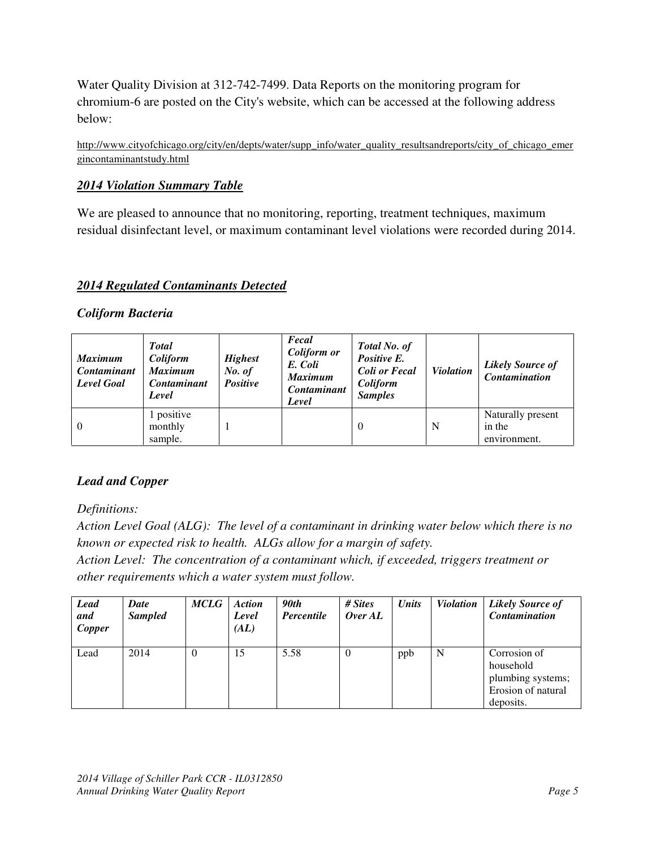Water Quality Division at 312-742-7499. Data Reports on the monitoring program for chromium-6 are posted on the City's website, which can be accessed at the following address below:

http://www.cityofchicago.org/city/en/depts/water/supp\_info/water\_quality\_resultsandreports/city\_of\_chicago\_emer gincontaminantstudy.html

# *2014 Violation Summary Table*

We are pleased to announce that no monitoring, reporting, treatment techniques, maximum residual disinfectant level, or maximum contaminant level violations were recorded during 2014.

#### *2014 Regulated Contaminants Detected*

#### *Coliform Bacteria*

| <b>Maximum</b><br><b>Contaminant</b><br>Level Goal | <b>Total</b><br>Coliform<br><b>Maximum</b><br><b>Contaminant</b><br>Level | <b>Highest</b><br>No. of<br>Positive | Fecal<br><b>Coliform or</b><br>E. Coli<br><b>Maximum</b><br><b>Contaminant</b><br>Level | Total No. of<br>Positive E.<br><b>Coli or Fecal</b><br>Coliform<br><b>Samples</b> | <b>Violation</b> | <b>Likely Source of</b><br><b>Contamination</b> |
|----------------------------------------------------|---------------------------------------------------------------------------|--------------------------------------|-----------------------------------------------------------------------------------------|-----------------------------------------------------------------------------------|------------------|-------------------------------------------------|
| $\overline{0}$                                     | 1 positive<br>monthly<br>sample.                                          |                                      |                                                                                         | 0                                                                                 | N                | Naturally present<br>in the<br>environment.     |

# *Lead and Copper*

*Definitions:* 

*Action Level Goal (ALG): The level of a contaminant in drinking water below which there is no known or expected risk to health. ALGs allow for a margin of safety.* 

*Action Level: The concentration of a contaminant which, if exceeded, triggers treatment or other requirements which a water system must follow.* 

| <b>Lead</b><br>and<br>Copper | Date<br><b>Sampled</b> | <b>MCLG</b> | <b>Action</b><br>Level<br>(AL) | 90th<br><b>Percentile</b> | # Sites<br>OverAL | Units | <b>Violation</b> | <b>Likely Source of</b><br><b>Contamination</b>                                   |
|------------------------------|------------------------|-------------|--------------------------------|---------------------------|-------------------|-------|------------------|-----------------------------------------------------------------------------------|
| Lead                         | 2014                   | $\theta$    | 15                             | 5.58                      | $\theta$          | ppb   | N                | Corrosion of<br>household<br>plumbing systems;<br>Erosion of natural<br>deposits. |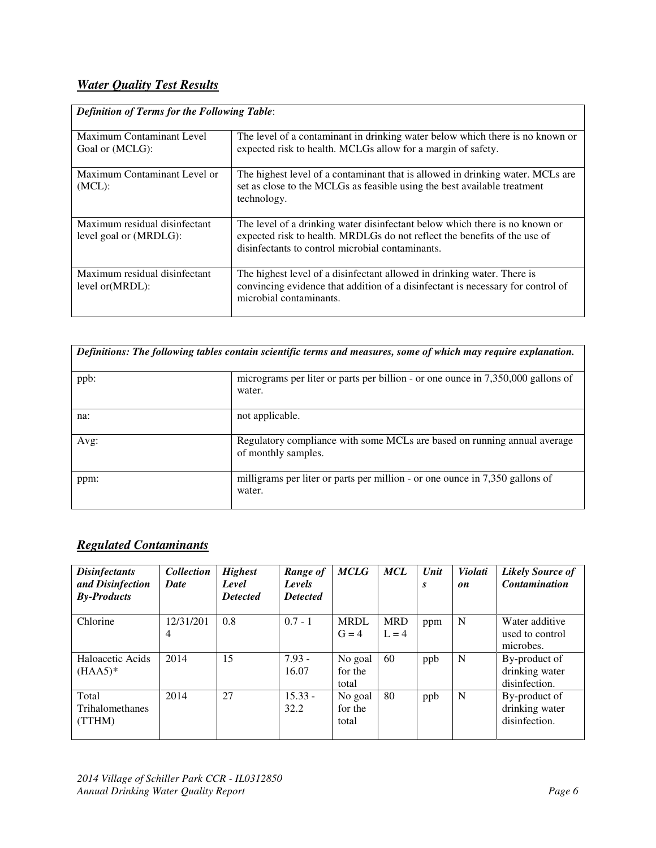# *Water Quality Test Results*

| <b>Definition of Terms for the Following Table:</b>     |                                                                                                                                                                                                              |  |  |  |  |  |  |
|---------------------------------------------------------|--------------------------------------------------------------------------------------------------------------------------------------------------------------------------------------------------------------|--|--|--|--|--|--|
| Maximum Contaminant Level<br>Goal or (MCLG):            | The level of a contaminant in drinking water below which there is no known or<br>expected risk to health. MCLGs allow for a margin of safety.                                                                |  |  |  |  |  |  |
| Maximum Contaminant Level or<br>$(MCL)$ :               | The highest level of a contaminant that is allowed in drinking water. MCLs are<br>set as close to the MCLGs as feasible using the best available treatment<br>technology.                                    |  |  |  |  |  |  |
| Maximum residual disinfectant<br>level goal or (MRDLG): | The level of a drinking water disinfectant below which there is no known or<br>expected risk to health. MRDLGs do not reflect the benefits of the use of<br>disinfectants to control microbial contaminants. |  |  |  |  |  |  |
| Maximum residual disinfectant<br>level or (MRDL):       | The highest level of a disinfectant allowed in drinking water. There is<br>convincing evidence that addition of a disinfectant is necessary for control of<br>microbial contaminants.                        |  |  |  |  |  |  |

| Definitions: The following tables contain scientific terms and measures, some of which may require explanation. |                                                                                                 |  |  |  |  |  |  |
|-----------------------------------------------------------------------------------------------------------------|-------------------------------------------------------------------------------------------------|--|--|--|--|--|--|
| ppb:                                                                                                            | micrograms per liter or parts per billion - or one ounce in 7,350,000 gallons of<br>water.      |  |  |  |  |  |  |
| na:                                                                                                             | not applicable.                                                                                 |  |  |  |  |  |  |
| Avg:                                                                                                            | Regulatory compliance with some MCLs are based on running annual average<br>of monthly samples. |  |  |  |  |  |  |
| ppm:                                                                                                            | milligrams per liter or parts per million - or one ounce in 7,350 gallons of<br>water.          |  |  |  |  |  |  |

# *Regulated Contaminants*

| <b>Disinfectants</b><br>and Disinfection<br><b>By-Products</b> | <b>Collection</b><br><b>Date</b> | <b>Highest</b><br>Level<br><b>Detected</b> | Range of<br>Levels<br><b>Detected</b> | <b>MCLG</b>                 | <b>MCL</b>            | Unit<br>S | <b>Violati</b><br>on | <b>Likely Source of</b><br><b>Contamination</b>  |
|----------------------------------------------------------------|----------------------------------|--------------------------------------------|---------------------------------------|-----------------------------|-----------------------|-----------|----------------------|--------------------------------------------------|
| Chlorine                                                       | 12/31/201<br>$\overline{4}$      | 0.8                                        | $0.7 - 1$                             | <b>MRDL</b><br>$G = 4$      | <b>MRD</b><br>$L = 4$ | ppm       | N                    | Water additive<br>used to control<br>microbes.   |
| Haloacetic Acids<br>$(HAA5)^*$                                 | 2014                             | 15                                         | $7.93 -$<br>16.07                     | No goal<br>for the<br>total | 60                    | ppb       | N                    | By-product of<br>drinking water<br>disinfection. |
| Total<br><b>Trihalomethanes</b><br>(TTHM)                      | 2014                             | 27                                         | $15.33 -$<br>32.2                     | No goal<br>for the<br>total | 80                    | ppb       | N                    | By-product of<br>drinking water<br>disinfection. |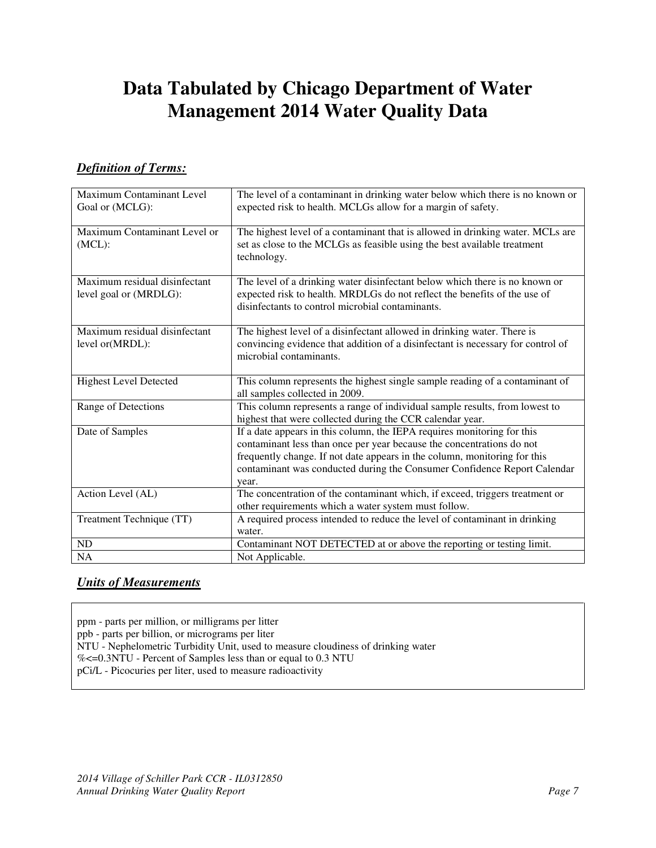# **Data Tabulated by Chicago Department of Water Management 2014 Water Quality Data**

# *Definition of Terms:*

| Maximum Contaminant Level<br>Goal or (MCLG):            | The level of a contaminant in drinking water below which there is no known or<br>expected risk to health. MCLGs allow for a margin of safety.                                                                                                                                                                      |
|---------------------------------------------------------|--------------------------------------------------------------------------------------------------------------------------------------------------------------------------------------------------------------------------------------------------------------------------------------------------------------------|
| Maximum Contaminant Level or<br>$(MCL)$ :               | The highest level of a contaminant that is allowed in drinking water. MCLs are<br>set as close to the MCLGs as feasible using the best available treatment<br>technology.                                                                                                                                          |
| Maximum residual disinfectant<br>level goal or (MRDLG): | The level of a drinking water disinfectant below which there is no known or<br>expected risk to health. MRDLGs do not reflect the benefits of the use of<br>disinfectants to control microbial contaminants.                                                                                                       |
| Maximum residual disinfectant<br>level or(MRDL):        | The highest level of a disinfectant allowed in drinking water. There is<br>convincing evidence that addition of a disinfectant is necessary for control of<br>microbial contaminants.                                                                                                                              |
| <b>Highest Level Detected</b>                           | This column represents the highest single sample reading of a contaminant of<br>all samples collected in 2009.                                                                                                                                                                                                     |
| Range of Detections                                     | This column represents a range of individual sample results, from lowest to<br>highest that were collected during the CCR calendar year.                                                                                                                                                                           |
| Date of Samples                                         | If a date appears in this column, the IEPA requires monitoring for this<br>contaminant less than once per year because the concentrations do not<br>frequently change. If not date appears in the column, monitoring for this<br>contaminant was conducted during the Consumer Confidence Report Calendar<br>year. |
| Action Level (AL)                                       | The concentration of the contaminant which, if exceed, triggers treatment or<br>other requirements which a water system must follow.                                                                                                                                                                               |
| Treatment Technique (TT)                                | A required process intended to reduce the level of contaminant in drinking<br>water.                                                                                                                                                                                                                               |
| ND                                                      | Contaminant NOT DETECTED at or above the reporting or testing limit.                                                                                                                                                                                                                                               |
| <b>NA</b>                                               | Not Applicable.                                                                                                                                                                                                                                                                                                    |

# *Units of Measurements*

ppm - parts per million, or milligrams per litter

ppb - parts per billion, or micrograms per liter

NTU - Nephelometric Turbidity Unit, used to measure cloudiness of drinking water

%<=0.3NTU - Percent of Samples less than or equal to 0.3 NTU

pCi/L - Picocuries per liter, used to measure radioactivity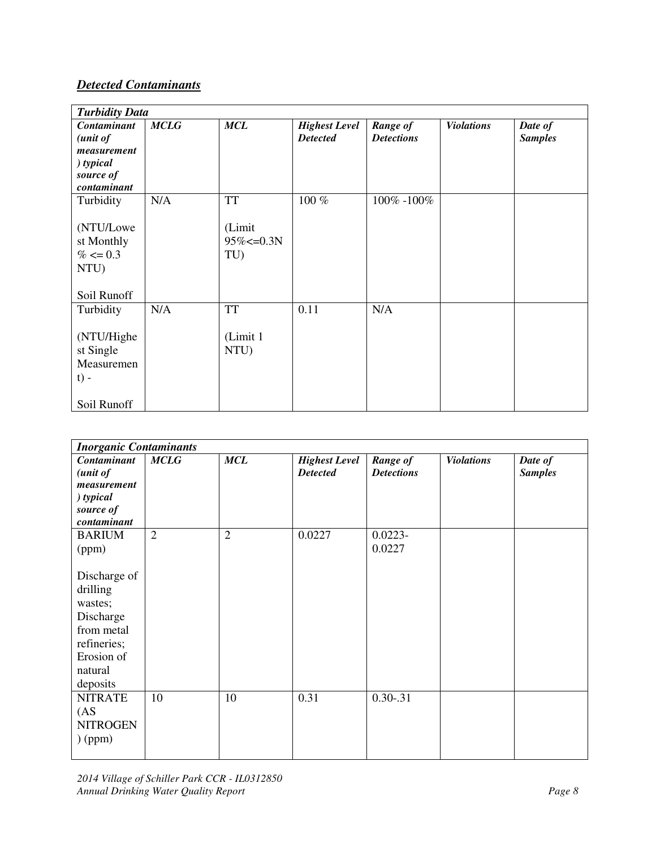# *Detected Contaminants*

|                                                                | <b>Turbidity Data</b> |                                  |                      |                   |                   |                |  |  |  |
|----------------------------------------------------------------|-----------------------|----------------------------------|----------------------|-------------------|-------------------|----------------|--|--|--|
| Contaminant                                                    | <b>MCLG</b>           | <b>MCL</b>                       | <b>Highest Level</b> | Range of          | <b>Violations</b> | Date of        |  |  |  |
| (unit of                                                       |                       |                                  | <b>Detected</b>      | <b>Detections</b> |                   | <b>Samples</b> |  |  |  |
| measurement                                                    |                       |                                  |                      |                   |                   |                |  |  |  |
| ) typical                                                      |                       |                                  |                      |                   |                   |                |  |  |  |
| source of                                                      |                       |                                  |                      |                   |                   |                |  |  |  |
| contaminant                                                    |                       |                                  |                      |                   |                   |                |  |  |  |
| Turbidity                                                      | N/A                   | <b>TT</b>                        | 100 %                | 100% -100%        |                   |                |  |  |  |
| (NTU/Lowe<br>st Monthly<br>$% \leq 0.3$<br>NTU)<br>Soil Runoff |                       | (Limit<br>$95\% < = 0.3N$<br>TU) |                      |                   |                   |                |  |  |  |
| Turbidity                                                      | N/A                   | <b>TT</b>                        | 0.11                 | N/A               |                   |                |  |  |  |
| (NTU/Highe<br>st Single<br>Measuremen<br>$t$ ) -               |                       | (Limit 1<br>NTU)                 |                      |                   |                   |                |  |  |  |
| Soil Runoff                                                    |                       |                                  |                      |                   |                   |                |  |  |  |

| <b>Inorganic Contaminants</b>                                                                                      |                |                |                                         |                               |                   |                           |  |  |  |
|--------------------------------------------------------------------------------------------------------------------|----------------|----------------|-----------------------------------------|-------------------------------|-------------------|---------------------------|--|--|--|
| Contaminant<br>(unit of<br>measurement<br>$\int$ typical<br>source of<br>contaminant                               | <b>MCLG</b>    | MCL            | <b>Highest Level</b><br><b>Detected</b> | Range of<br><b>Detections</b> | <b>Violations</b> | Date of<br><b>Samples</b> |  |  |  |
| <b>BARIUM</b><br>(ppm)                                                                                             | $\overline{2}$ | $\overline{2}$ | 0.0227                                  | $0.0223 -$<br>0.0227          |                   |                           |  |  |  |
| Discharge of<br>drilling<br>wastes;<br>Discharge<br>from metal<br>refineries;<br>Erosion of<br>natural<br>deposits |                |                |                                         |                               |                   |                           |  |  |  |
| <b>NITRATE</b><br>(AS <sup>2</sup> )<br><b>NITROGEN</b><br>$)$ (ppm)                                               | 10             | 10             | 0.31                                    | $0.30 - 31$                   |                   |                           |  |  |  |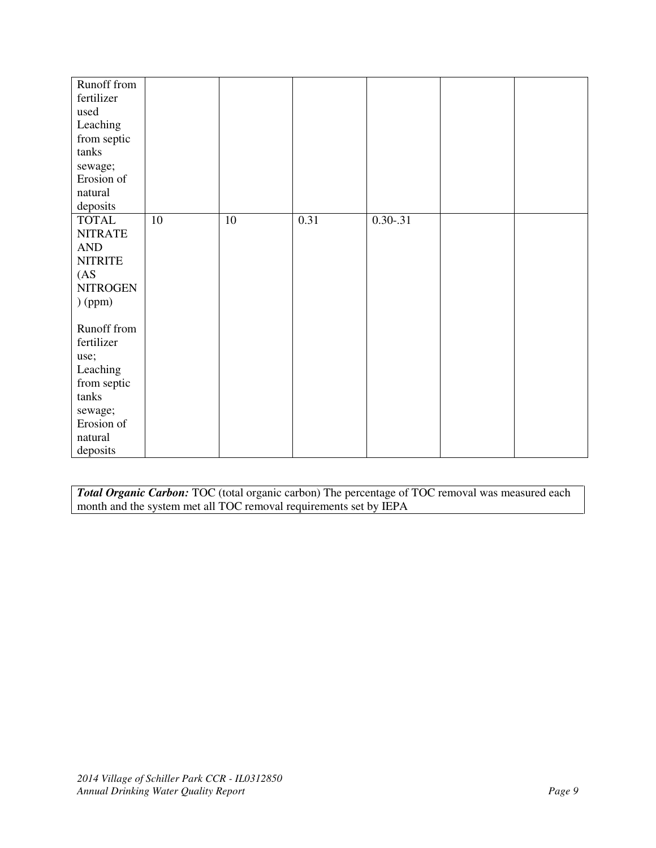| Runoff from        |    |        |      |               |  |
|--------------------|----|--------|------|---------------|--|
| fertilizer         |    |        |      |               |  |
| used               |    |        |      |               |  |
| Leaching           |    |        |      |               |  |
| from septic        |    |        |      |               |  |
| tanks              |    |        |      |               |  |
| sewage;            |    |        |      |               |  |
| Erosion of         |    |        |      |               |  |
| natural            |    |        |      |               |  |
| deposits           |    |        |      |               |  |
| <b>TOTAL</b>       | 10 | $10\,$ | 0.31 | $0.30 - 0.31$ |  |
| <b>NITRATE</b>     |    |        |      |               |  |
| AND                |    |        |      |               |  |
| <b>NITRITE</b>     |    |        |      |               |  |
| (AS <sup>2</sup> ) |    |        |      |               |  |
| <b>NITROGEN</b>    |    |        |      |               |  |
| $)$ (ppm)          |    |        |      |               |  |
|                    |    |        |      |               |  |
| Runoff from        |    |        |      |               |  |
| fertilizer         |    |        |      |               |  |
| use;               |    |        |      |               |  |
| Leaching           |    |        |      |               |  |
| from septic        |    |        |      |               |  |
| tanks              |    |        |      |               |  |
| sewage;            |    |        |      |               |  |
| Erosion of         |    |        |      |               |  |
| natural            |    |        |      |               |  |
| deposits           |    |        |      |               |  |

*Total Organic Carbon:* TOC (total organic carbon) The percentage of TOC removal was measured each month and the system met all TOC removal requirements set by IEPA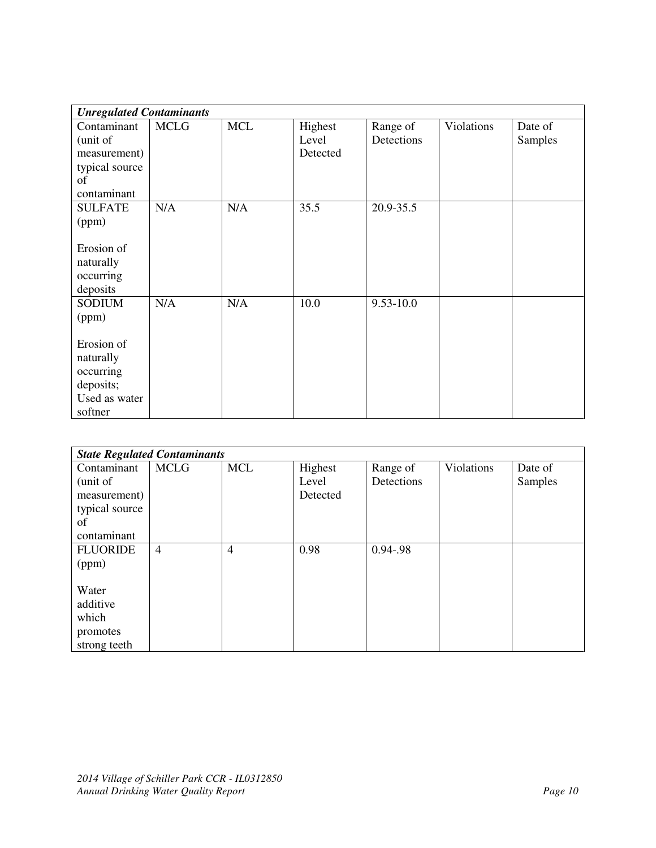| <b>Unregulated Contaminants</b>                                                                         |             |            |                              |                        |            |                    |
|---------------------------------------------------------------------------------------------------------|-------------|------------|------------------------------|------------------------|------------|--------------------|
| Contaminant<br>(unit of<br>measurement)<br>typical source<br>of<br>contaminant                          | <b>MCLG</b> | <b>MCL</b> | Highest<br>Level<br>Detected | Range of<br>Detections | Violations | Date of<br>Samples |
| <b>SULFATE</b><br>(ppm)<br>Erosion of<br>naturally<br>occurring<br>deposits                             | N/A         | N/A        | 35.5                         | 20.9-35.5              |            |                    |
| <b>SODIUM</b><br>(ppm)<br>Erosion of<br>naturally<br>occurring<br>deposits;<br>Used as water<br>softner | N/A         | N/A        | 10.0                         | $9.53 - 10.0$          |            |                    |

| <b>State Regulated Contaminants</b> |                |            |          |               |            |         |  |  |  |
|-------------------------------------|----------------|------------|----------|---------------|------------|---------|--|--|--|
| Contaminant                         | <b>MCLG</b>    | <b>MCL</b> | Highest  | Range of      | Violations | Date of |  |  |  |
| (unit of                            |                |            | Level    | Detections    |            | Samples |  |  |  |
| measurement)                        |                |            | Detected |               |            |         |  |  |  |
| typical source                      |                |            |          |               |            |         |  |  |  |
| of                                  |                |            |          |               |            |         |  |  |  |
| contaminant                         |                |            |          |               |            |         |  |  |  |
| <b>FLUORIDE</b>                     | $\overline{4}$ | 4          | 0.98     | $0.94 - 0.98$ |            |         |  |  |  |
| (ppm)                               |                |            |          |               |            |         |  |  |  |
|                                     |                |            |          |               |            |         |  |  |  |
| Water                               |                |            |          |               |            |         |  |  |  |
| additive                            |                |            |          |               |            |         |  |  |  |
| which                               |                |            |          |               |            |         |  |  |  |
| promotes                            |                |            |          |               |            |         |  |  |  |
| strong teeth                        |                |            |          |               |            |         |  |  |  |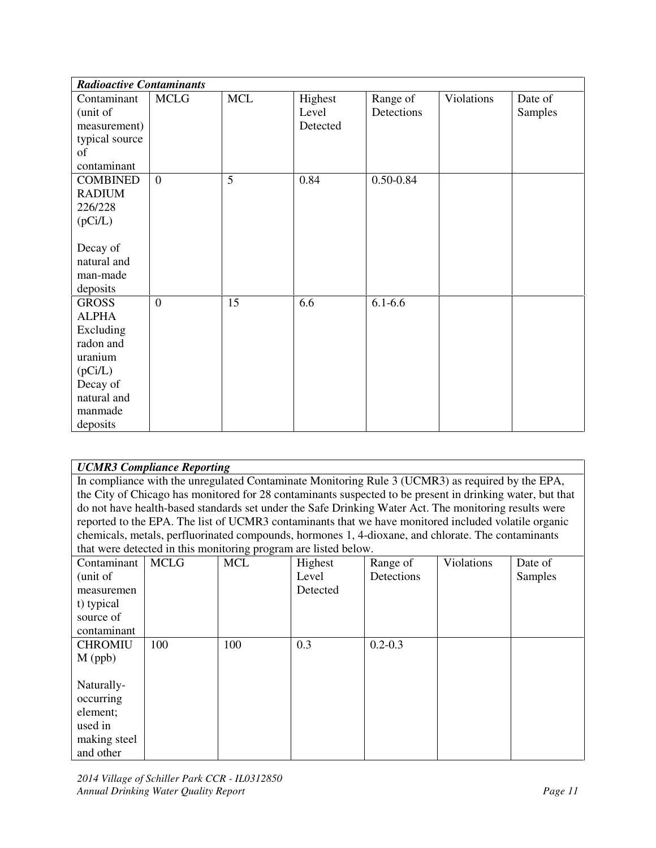| <b>Radioactive Contaminants</b> |                |            |          |             |            |         |
|---------------------------------|----------------|------------|----------|-------------|------------|---------|
| Contaminant                     | <b>MCLG</b>    | <b>MCL</b> | Highest  | Range of    | Violations | Date of |
| (unit of                        |                |            | Level    | Detections  |            | Samples |
| measurement)                    |                |            | Detected |             |            |         |
| typical source                  |                |            |          |             |            |         |
| of                              |                |            |          |             |            |         |
| contaminant                     |                |            |          |             |            |         |
| <b>COMBINED</b>                 | $\overline{0}$ | 5          | 0.84     | 0.50-0.84   |            |         |
| <b>RADIUM</b>                   |                |            |          |             |            |         |
| 226/228                         |                |            |          |             |            |         |
| (pCi/L)                         |                |            |          |             |            |         |
|                                 |                |            |          |             |            |         |
| Decay of                        |                |            |          |             |            |         |
| natural and                     |                |            |          |             |            |         |
| man-made                        |                |            |          |             |            |         |
| deposits                        |                |            |          |             |            |         |
| <b>GROSS</b>                    | $\overline{0}$ | 15         | 6.6      | $6.1 - 6.6$ |            |         |
| <b>ALPHA</b>                    |                |            |          |             |            |         |
| Excluding                       |                |            |          |             |            |         |
| radon and                       |                |            |          |             |            |         |
| uranium                         |                |            |          |             |            |         |
| (pCi/L)                         |                |            |          |             |            |         |
| Decay of                        |                |            |          |             |            |         |
| natural and                     |                |            |          |             |            |         |
| manmade                         |                |            |          |             |            |         |
| deposits                        |                |            |          |             |            |         |

| <b>UCMR3 Compliance Reporting</b> |  |
|-----------------------------------|--|
|-----------------------------------|--|

In compliance with the unregulated Contaminate Monitoring Rule 3 (UCMR3) as required by the EPA, the City of Chicago has monitored for 28 contaminants suspected to be present in drinking water, but that do not have health-based standards set under the Safe Drinking Water Act. The monitoring results were reported to the EPA. The list of UCMR3 contaminants that we have monitored included volatile organic chemicals, metals, perfluorinated compounds, hormones 1, 4-dioxane, and chlorate. The contaminants that were detected in this monitoring program are listed below.

|                |             | -0 r - - 0 - - |          |             |            |         |
|----------------|-------------|----------------|----------|-------------|------------|---------|
| Contaminant    | <b>MCLG</b> | <b>MCL</b>     | Highest  | Range of    | Violations | Date of |
| (unit of       |             |                | Level    | Detections  |            | Samples |
| measuremen     |             |                | Detected |             |            |         |
| t) typical     |             |                |          |             |            |         |
| source of      |             |                |          |             |            |         |
| contaminant    |             |                |          |             |            |         |
| <b>CHROMIU</b> | 100         | 100            | 0.3      | $0.2 - 0.3$ |            |         |
| $M$ (ppb)      |             |                |          |             |            |         |
|                |             |                |          |             |            |         |
| Naturally-     |             |                |          |             |            |         |
| occurring      |             |                |          |             |            |         |
| element;       |             |                |          |             |            |         |
| used in        |             |                |          |             |            |         |
| making steel   |             |                |          |             |            |         |
| and other      |             |                |          |             |            |         |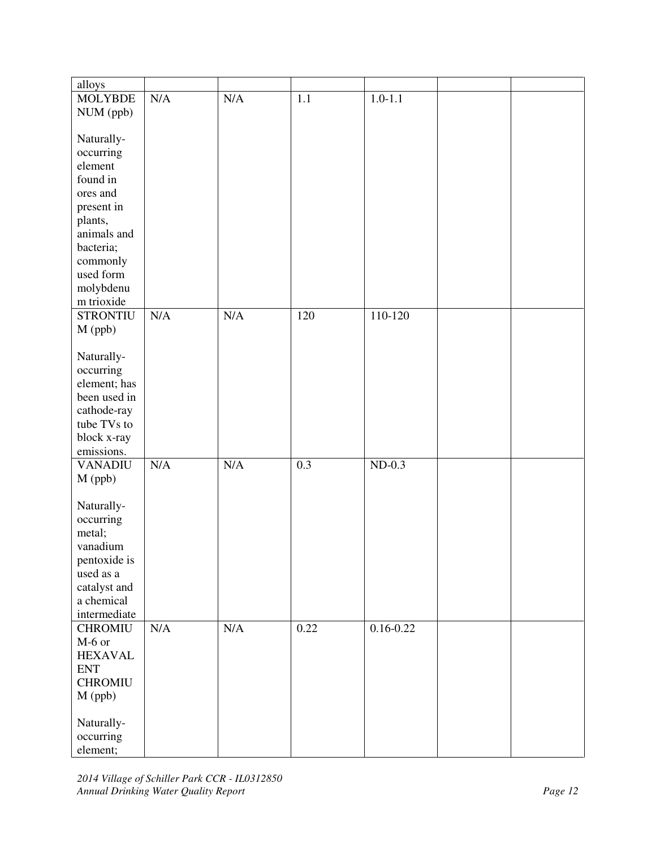| alloys          |           |           |                  |               |  |
|-----------------|-----------|-----------|------------------|---------------|--|
| <b>MOLYBDE</b>  | N/A       | N/A       | 1.1              | $1.0 - 1.1$   |  |
| NUM (ppb)       |           |           |                  |               |  |
|                 |           |           |                  |               |  |
| Naturally-      |           |           |                  |               |  |
| occurring       |           |           |                  |               |  |
| element         |           |           |                  |               |  |
| found in        |           |           |                  |               |  |
| ores and        |           |           |                  |               |  |
|                 |           |           |                  |               |  |
| present in      |           |           |                  |               |  |
| plants,         |           |           |                  |               |  |
| animals and     |           |           |                  |               |  |
| bacteria;       |           |           |                  |               |  |
| commonly        |           |           |                  |               |  |
| used form       |           |           |                  |               |  |
| molybdenu       |           |           |                  |               |  |
| m trioxide      |           |           |                  |               |  |
| <b>STRONTIU</b> | N/A       | N/A       | 120              | 110-120       |  |
| $M$ (ppb)       |           |           |                  |               |  |
|                 |           |           |                  |               |  |
| Naturally-      |           |           |                  |               |  |
| occurring       |           |           |                  |               |  |
| element; has    |           |           |                  |               |  |
| been used in    |           |           |                  |               |  |
| cathode-ray     |           |           |                  |               |  |
| tube TVs to     |           |           |                  |               |  |
| block x-ray     |           |           |                  |               |  |
| emissions.      |           |           |                  |               |  |
| <b>VANADIU</b>  | N/A       | N/A       | $\overline{0.3}$ | $ND-0.3$      |  |
| M (ppb)         |           |           |                  |               |  |
|                 |           |           |                  |               |  |
| Naturally-      |           |           |                  |               |  |
| occurring       |           |           |                  |               |  |
| metal;          |           |           |                  |               |  |
| vanadium        |           |           |                  |               |  |
| pentoxide is    |           |           |                  |               |  |
| used as a       |           |           |                  |               |  |
| catalyst and    |           |           |                  |               |  |
| a chemical      |           |           |                  |               |  |
| intermediate    |           |           |                  |               |  |
| <b>CHROMIU</b>  | $\rm N/A$ | $\rm N/A$ | 0.22             | $0.16 - 0.22$ |  |
| $M-6$ or        |           |           |                  |               |  |
| <b>HEXAVAL</b>  |           |           |                  |               |  |
|                 |           |           |                  |               |  |
| <b>ENT</b>      |           |           |                  |               |  |
| <b>CHROMIU</b>  |           |           |                  |               |  |
| $M$ (ppb)       |           |           |                  |               |  |
|                 |           |           |                  |               |  |
| Naturally-      |           |           |                  |               |  |
| occurring       |           |           |                  |               |  |
| element;        |           |           |                  |               |  |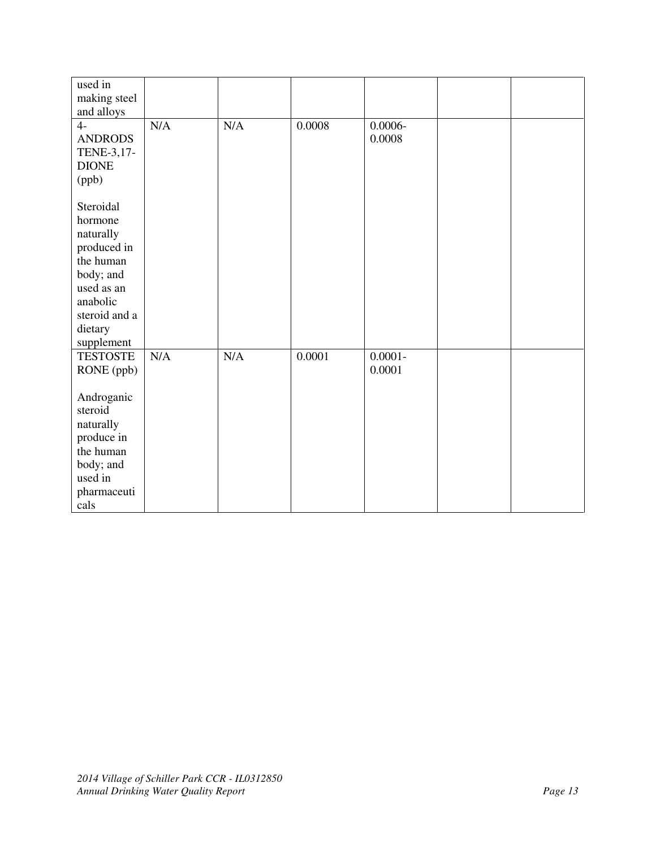| used in<br>making steel |     |           |        |            |  |
|-------------------------|-----|-----------|--------|------------|--|
| and alloys              |     |           |        |            |  |
| $4-$                    | N/A | $\rm N/A$ | 0.0008 | $0.0006 -$ |  |
| <b>ANDRODS</b>          |     |           |        | 0.0008     |  |
| TENE-3,17-              |     |           |        |            |  |
| <b>DIONE</b>            |     |           |        |            |  |
| (ppb)                   |     |           |        |            |  |
|                         |     |           |        |            |  |
| Steroidal               |     |           |        |            |  |
| hormone                 |     |           |        |            |  |
| naturally               |     |           |        |            |  |
| produced in             |     |           |        |            |  |
| the human               |     |           |        |            |  |
| body; and               |     |           |        |            |  |
| used as an              |     |           |        |            |  |
| anabolic                |     |           |        |            |  |
| steroid and a           |     |           |        |            |  |
| dietary                 |     |           |        |            |  |
| supplement              |     |           |        |            |  |
| <b>TESTOSTE</b>         | N/A | N/A       | 0.0001 | $0.0001 -$ |  |
| RONE (ppb)              |     |           |        | 0.0001     |  |
|                         |     |           |        |            |  |
| Androganic              |     |           |        |            |  |
| steroid                 |     |           |        |            |  |
| naturally               |     |           |        |            |  |
| produce in              |     |           |        |            |  |
| the human               |     |           |        |            |  |
| body; and               |     |           |        |            |  |
| used in                 |     |           |        |            |  |
| pharmaceuti             |     |           |        |            |  |
| cals                    |     |           |        |            |  |